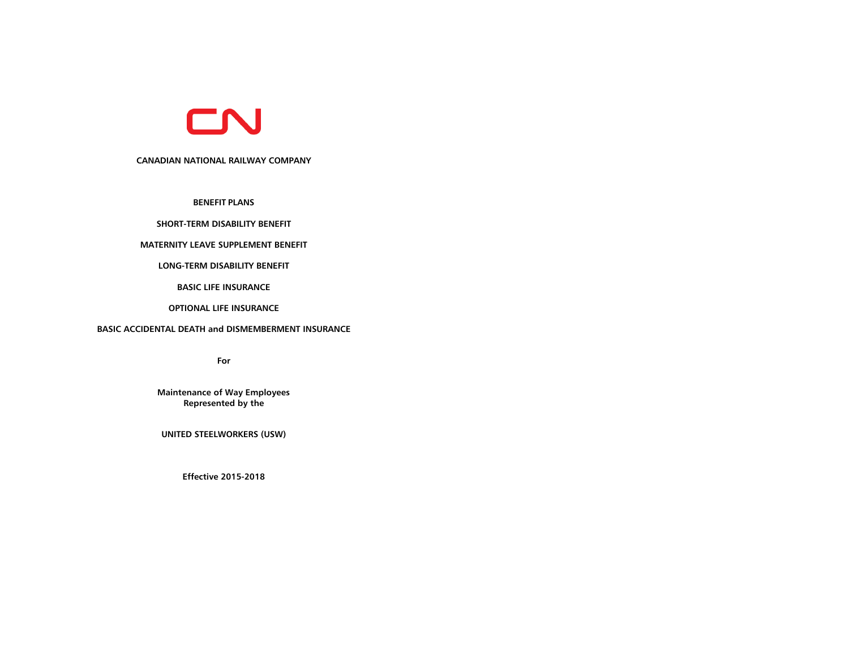

# **CANADIAN NATIONAL RAILWAY COMPANY**

**BENEFIT PLANS**

# **SHORT-TERM DISABILITY BENEFIT**

### **MATERNITY LEAVE SUPPLEMENT BENEFIT**

# **LONG-TERM DISABILITY BENEFIT**

**BASIC LIFE INSURANCE**

# **OPTIONAL LIFE INSURANCE**

# **BASIC ACCIDENTAL DEATH and DISMEMBERMENT INSURANCE**

**For**

**Maintenance of Way Employees Represented by the**

**UNITED STEELWORKERS (USW)**

**Effective 2015-2018**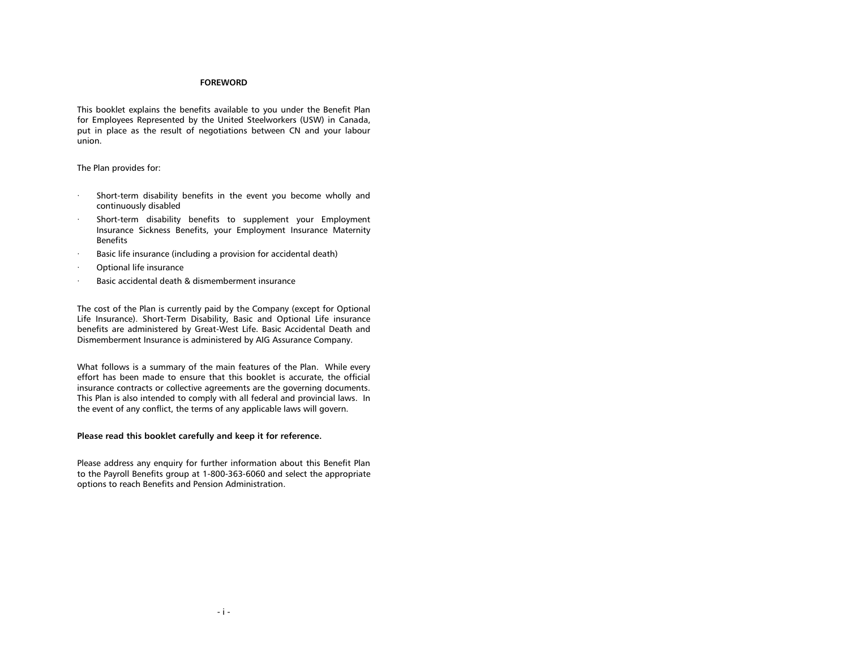## **FOREWORD**

This booklet explains the benefits available to you under the Benefit Plan for Employees Represented by the United Steelworkers (USW) in Canada, put in place as the result of negotiations between CN and your labour union.

The Plan provides for:

- Short-term disability benefits in the event you become wholly and continuously disabled
- Short-term disability benefits to supplement your Employment Insurance Sickness Benefits, your Employment Insurance Maternity Benefits
- Basic life insurance (including a provision for accidental death)
- Optional life insurance
- Basic accidental death & dismemberment insurance

The cost of the Plan is currently paid by the Company (except for Optional Life Insurance). Short-Term Disability, Basic and Optional Life insurance benefits are administered by Great-West Life. Basic Accidental Death and Dismemberment Insurance is administered by AIG Assurance Company.

What follows is a summary of the main features of the Plan. While every effort has been made to ensure that this booklet is accurate, the official insurance contracts or collective agreements are the governing documents. This Plan is also intended to comply with all federal and provincial laws. In the event of any conflict, the terms of any applicable laws will govern.

# **Please read this booklet carefully and keep it for reference.**

Please address any enquiry for further information about this Benefit Plan to the Payroll Benefits group at 1-800-363-6060 and select the appropriate options to reach Benefits and Pension Administration.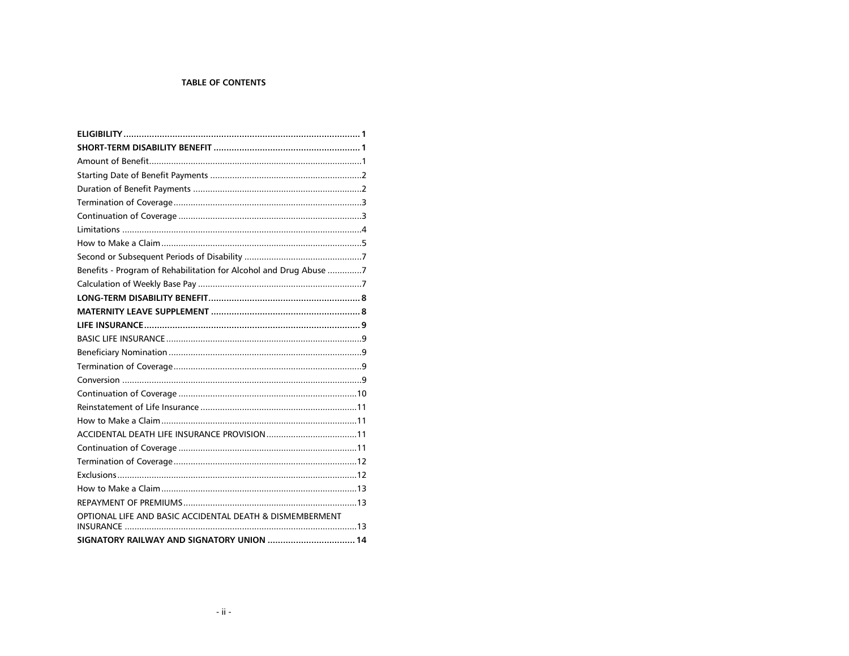# **TABLE OF CONTENTS**

| Benefits - Program of Rehabilitation for Alcohol and Drug Abuse 7 |
|-------------------------------------------------------------------|
|                                                                   |
|                                                                   |
|                                                                   |
|                                                                   |
|                                                                   |
|                                                                   |
|                                                                   |
|                                                                   |
|                                                                   |
|                                                                   |
|                                                                   |
|                                                                   |
|                                                                   |
|                                                                   |
|                                                                   |
|                                                                   |
|                                                                   |
| OPTIONAL LIFE AND BASIC ACCIDENTAL DEATH & DISMEMBERMENT          |
| SIGNATORY RAILWAY AND SIGNATORY UNION  14                         |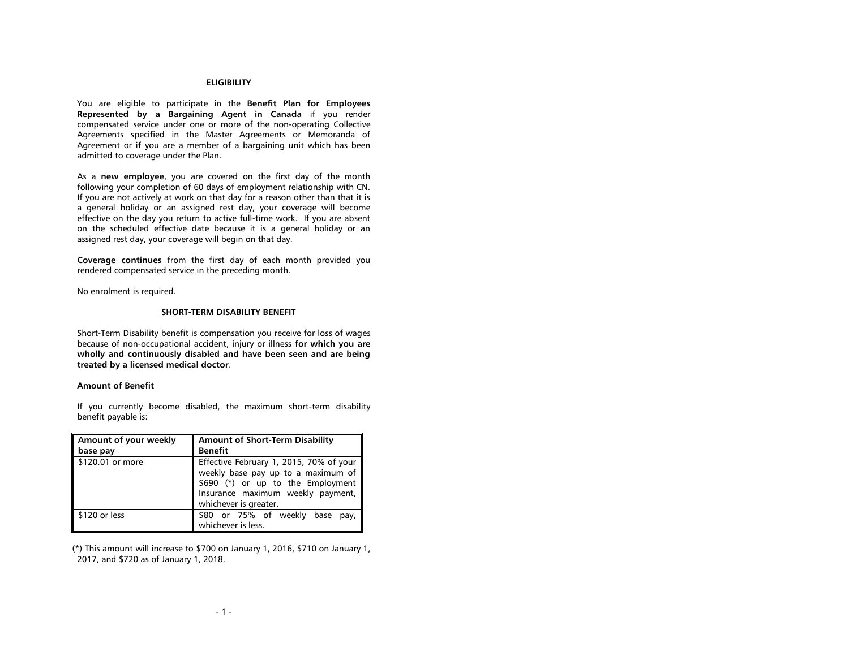### **ELIGIBILITY**

<span id="page-3-0"></span>You are eligible to participate in the **Benefit Plan for Employees Represented by a Bargaining Agent in Canada** if you render compensated service under one or more of the non-operating Collective Agreements specified in the Master Agreements or Memoranda of Agreement or if you are a member of a bargaining unit which has been admitted to coverage under the Plan.

As a **new employee**, you are covered on the first day of the month following your completion of 60 days of employment relationship with CN. If you are not actively at work on that day for a reason other than that it is a general holiday or an assigned rest day, your coverage will become effective on the day you return to active full-time work. If you are absent on the scheduled effective date because it is a general holiday or an assigned rest day, your coverage will begin on that day.

**Coverage continues** from the first day of each month provided you rendered compensated service in the preceding month.

<span id="page-3-1"></span>No enrolment is required.

#### **SHORT-TERM DISABILITY BENEFIT**

Short-Term Disability benefit is compensation you receive for loss of wages because of non-occupational accident, injury or illness **for which you are wholly and continuously disabled and have been seen and are being treated by a licensed medical doctor**.

#### <span id="page-3-2"></span>**Amount of Benefit**

If you currently become disabled, the maximum short-term disability benefit payable is:

| Amount of your weekly<br>base pay | <b>Amount of Short-Term Disability</b><br><b>Benefit</b>                                                                                                                         |
|-----------------------------------|----------------------------------------------------------------------------------------------------------------------------------------------------------------------------------|
| \$120.01 or more                  | Effective February 1, 2015, 70% of your<br>weekly base pay up to a maximum of<br>\$690 (*) or up to the Employment<br>Insurance maximum weekly payment,<br>whichever is greater. |
| \$120 or less                     | \$80 or 75% of weekly base<br>pay,<br>whichever is less.                                                                                                                         |

(\*) This amount will increase to \$700 on January 1, 2016, \$710 on January 1, 2017, and \$720 as of January 1, 2018.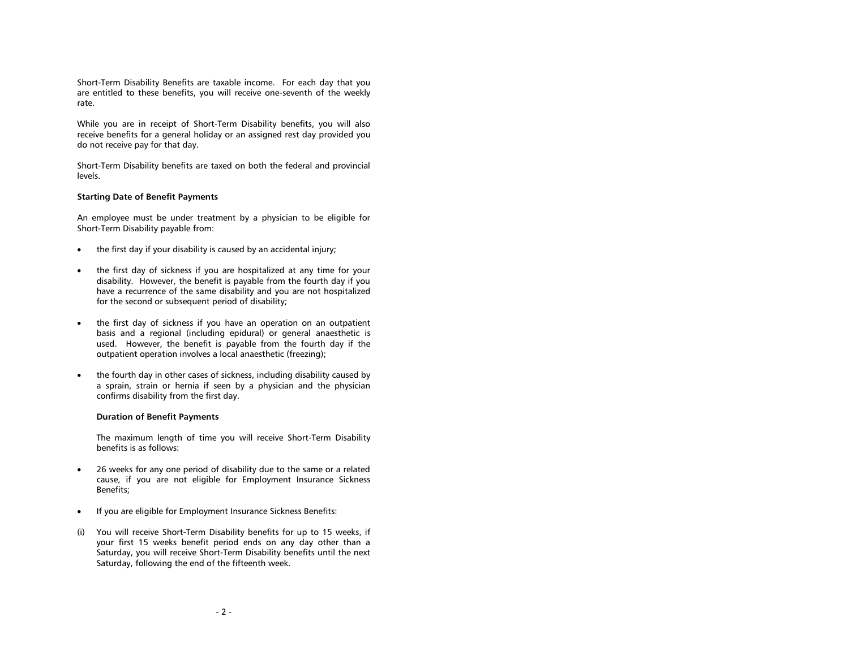Short-Term Disability Benefits are taxable income. For each day that you are entitled to these benefits, you will receive one-seventh of the weekly rate.

While you are in receipt of Short-Term Disability benefits, you will also receive benefits for a general holiday or an assigned rest day provided you do not receive pay for that day.

Short-Term Disability benefits are taxed on both the federal and provincial levels.

### <span id="page-4-0"></span>**Starting Date of Benefit Payments**

An employee must be under treatment by a physician to be eligible for Short-Term Disability payable from:

- the first day if your disability is caused by an accidental injury;
- the first day of sickness if you are hospitalized at any time for your disability. However, the benefit is payable from the fourth day if you have a recurrence of the same disability and you are not hospitalized for the second or subsequent period of disability;
- the first day of sickness if you have an operation on an outpatient basis and a regional (including epidural) or general anaesthetic is used. However, the benefit is payable from the fourth day if the outpatient operation involves a local anaesthetic (freezing);
- the fourth day in other cases of sickness, including disability caused by a sprain, strain or hernia if seen by a physician and the physician confirms disability from the first day.

### <span id="page-4-1"></span>**Duration of Benefit Payments**

The maximum length of time you will receive Short-Term Disability benefits is as follows:

- 26 weeks for any one period of disability due to the same or a related cause, if you are not eligible for Employment Insurance Sickness Benefits;
- If you are eligible for Employment Insurance Sickness Benefits:
- (i) You will receive Short-Term Disability benefits for up to 15 weeks, if your first 15 weeks benefit period ends on any day other than a Saturday, you will receive Short-Term Disability benefits until the next Saturday, following the end of the fifteenth week.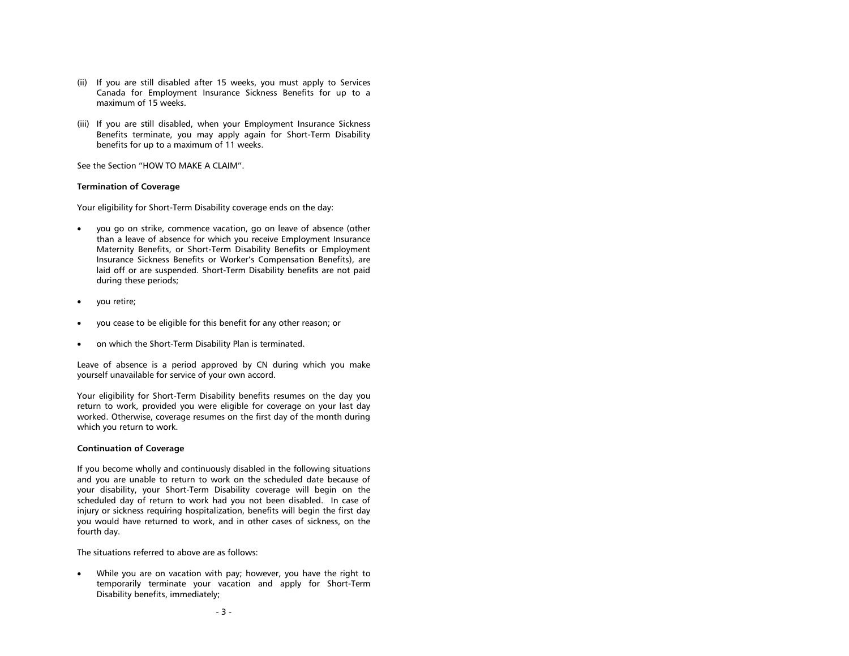- (ii) If you are still disabled after 15 weeks, you must apply to Services Canada for Employment Insurance Sickness Benefits for up to a maximum of 15 weeks.
- (iii) If you are still disabled, when your Employment Insurance Sickness Benefits terminate, you may apply again for Short-Term Disability benefits for up to a maximum of 11 weeks.

See the Section "HOW TO MAKE A CLAIM".

### <span id="page-5-0"></span>**Termination of Coverage**

Your eligibility for Short-Term Disability coverage ends on the day:

- you go on strike, commence vacation, go on leave of absence (other than a leave of absence for which you receive Employment Insurance Maternity Benefits, or Short-Term Disability Benefits or Employment Insurance Sickness Benefits or Worker's Compensation Benefits), are laid off or are suspended. Short-Term Disability benefits are not paid during these periods;
- you retire;
- you cease to be eligible for this benefit for any other reason; or
- on which the Short-Term Disability Plan is terminated.

Leave of absence is a period approved by CN during which you make yourself unavailable for service of your own accord.

Your eligibility for Short-Term Disability benefits resumes on the day you return to work, provided you were eligible for coverage on your last day worked. Otherwise, coverage resumes on the first day of the month during which you return to work.

### <span id="page-5-1"></span>**Continuation of Coverage**

If you become wholly and continuously disabled in the following situations and you are unable to return to work on the scheduled date because of your disability, your Short-Term Disability coverage will begin on the scheduled day of return to work had you not been disabled. In case of injury or sickness requiring hospitalization, benefits will begin the first day you would have returned to work, and in other cases of sickness, on the fourth day.

The situations referred to above are as follows:

 While you are on vacation with pay; however, you have the right to temporarily terminate your vacation and apply for Short-Term Disability benefits, immediately;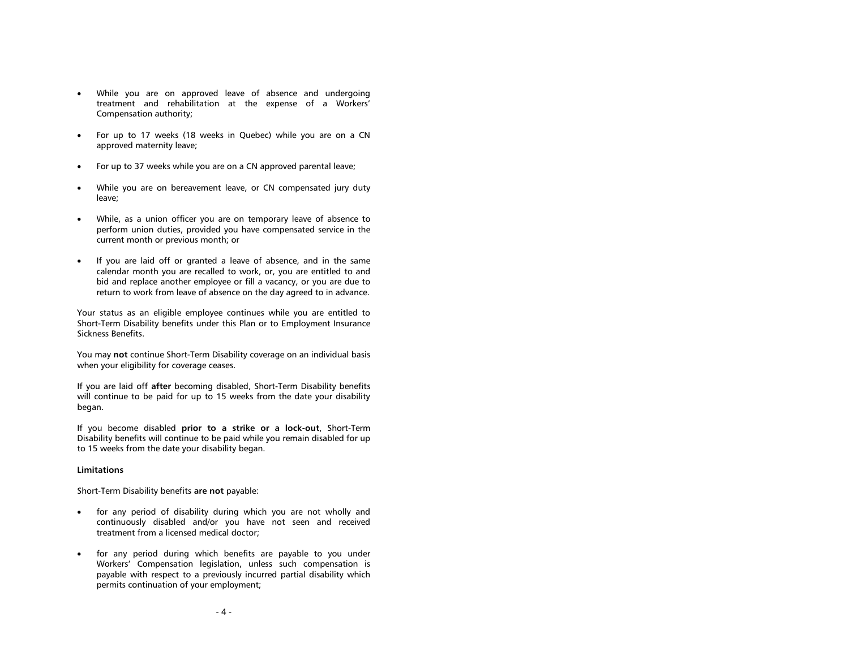- While you are on approved leave of absence and undergoing treatment and rehabilitation at the expense of a Workers' Compensation authority;
- For up to 17 weeks (18 weeks in Quebec) while you are on a CN approved maternity leave;
- For up to 37 weeks while you are on a CN approved parental leave;
- While you are on bereavement leave, or CN compensated jury duty leave;
- While, as a union officer you are on temporary leave of absence to perform union duties, provided you have compensated service in the current month or previous month; or
- If you are laid off or granted a leave of absence, and in the same calendar month you are recalled to work, or, you are entitled to and bid and replace another employee or fill a vacancy, or you are due to return to work from leave of absence on the day agreed to in advance.

Your status as an eligible employee continues while you are entitled to Short-Term Disability benefits under this Plan or to Employment Insurance Sickness Benefits.

You may **not** continue Short-Term Disability coverage on an individual basis when your eligibility for coverage ceases.

If you are laid off **after** becoming disabled, Short-Term Disability benefits will continue to be paid for up to 15 weeks from the date your disability began.

If you become disabled **prior to a strike or a lock-out**, Short-Term Disability benefits will continue to be paid while you remain disabled for up to 15 weeks from the date your disability began.

#### <span id="page-6-0"></span>**Limitations**

Short-Term Disability benefits **are not** payable:

- for any period of disability during which you are not wholly and continuously disabled and/or you have not seen and received treatment from a licensed medical doctor;
- for any period during which benefits are payable to you under Workers' Compensation legislation, unless such compensation is payable with respect to a previously incurred partial disability which permits continuation of your employment;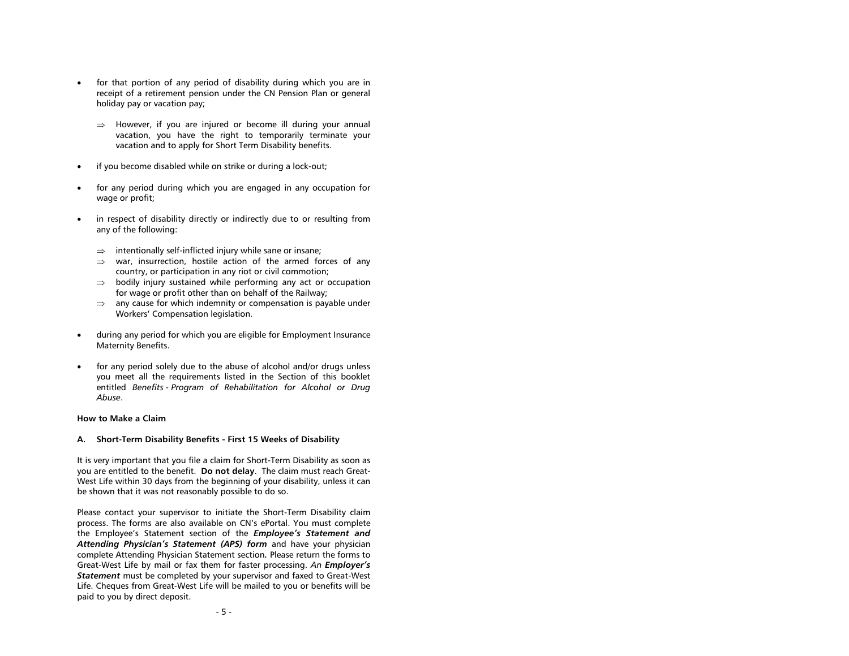- for that portion of any period of disability during which you are in receipt of a retirement pension under the CN Pension Plan or general holiday pay or vacation pay;
	- $\Rightarrow$  However, if you are injured or become ill during your annual vacation, you have the right to temporarily terminate your vacation and to apply for Short Term Disability benefits.
- if you become disabled while on strike or during a lock-out;
- for any period during which you are engaged in any occupation for wage or profit;
- in respect of disability directly or indirectly due to or resulting from any of the following:
	- $\Rightarrow$  intentionally self-inflicted injury while sane or insane;
	- $\Rightarrow$  war, insurrection, hostile action of the armed forces of any country, or participation in any riot or civil commotion;
	- $\Rightarrow$  bodily injury sustained while performing any act or occupation for wage or profit other than on behalf of the Railway;
	- $\Rightarrow$  any cause for which indemnity or compensation is payable under Workers' Compensation legislation.
- during any period for which you are eligible for Employment Insurance Maternity Benefits.
- for any period solely due to the abuse of alcohol and/or drugs unless you meet all the requirements listed in the Section of this booklet entitled *Benefits - Program of Rehabilitation for Alcohol or Drug Abuse*.

# <span id="page-7-0"></span>**How to Make a Claim**

### **A. Short-Term Disability Benefits - First 15 Weeks of Disability**

It is very important that you file a claim for Short-Term Disability as soon as you are entitled to the benefit. **Do not delay**. The claim must reach Great-West Life within 30 days from the beginning of your disability, unless it can be shown that it was not reasonably possible to do so.

Please contact your supervisor to initiate the Short-Term Disability claim process. The forms are also available on CN's ePortal. You must complete the Employee's Statement section of the *Employee's Statement and Attending Physician's Statement (APS) form* and have your physician complete Attending Physician Statement section*.* Please return the forms to Great-West Life by mail or fax them for faster processing. *An Employer's Statement* must be completed by your supervisor and faxed to Great-West Life. Cheques from Great-West Life will be mailed to you or benefits will be paid to you by direct deposit.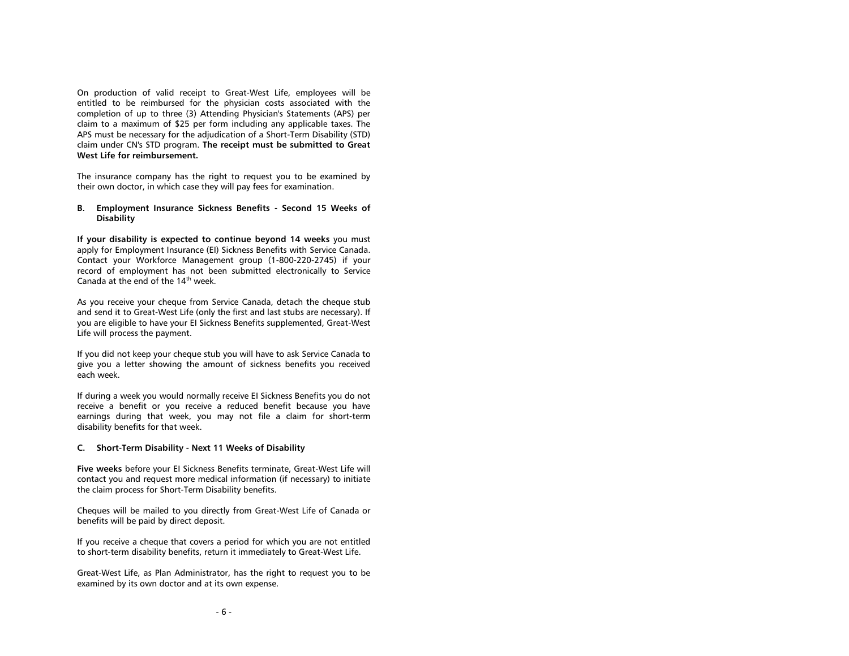On production of valid receipt to Great-West Life, employees will be entitled to be reimbursed for the physician costs associated with the completion of up to three (3) Attending Physician's Statements (APS) per claim to a maximum of \$25 per form including any applicable taxes. The APS must be necessary for the adjudication of a Short-Term Disability (STD) claim under CN's STD program. **The receipt must be submitted to Great West Life for reimbursement.**

The insurance company has the right to request you to be examined by their own doctor, in which case they will pay fees for examination.

**B. Employment Insurance Sickness Benefits - Second 15 Weeks of Disability**

**If your disability is expected to continue beyond 14 weeks** you must apply for Employment Insurance (EI) Sickness Benefits with Service Canada. Contact your Workforce Management group (1-800-220-2745) if your record of employment has not been submitted electronically to Service Canada at the end of the 14<sup>th</sup> week.

As you receive your cheque from Service Canada, detach the cheque stub and send it to Great-West Life (only the first and last stubs are necessary). If you are eligible to have your EI Sickness Benefits supplemented, Great-West Life will process the payment.

If you did not keep your cheque stub you will have to ask Service Canada to give you a letter showing the amount of sickness benefits you received each week.

If during a week you would normally receive EI Sickness Benefits you do not receive a benefit or you receive a reduced benefit because you have earnings during that week, you may not file a claim for short-term disability benefits for that week.

#### **C. Short-Term Disability - Next 11 Weeks of Disability**

**Five weeks** before your EI Sickness Benefits terminate, Great-West Life will contact you and request more medical information (if necessary) to initiate the claim process for Short-Term Disability benefits.

Cheques will be mailed to you directly from Great-West Life of Canada or benefits will be paid by direct deposit.

If you receive a cheque that covers a period for which you are not entitled to short-term disability benefits, return it immediately to Great-West Life.

Great-West Life, as Plan Administrator, has the right to request you to be examined by its own doctor and at its own expense.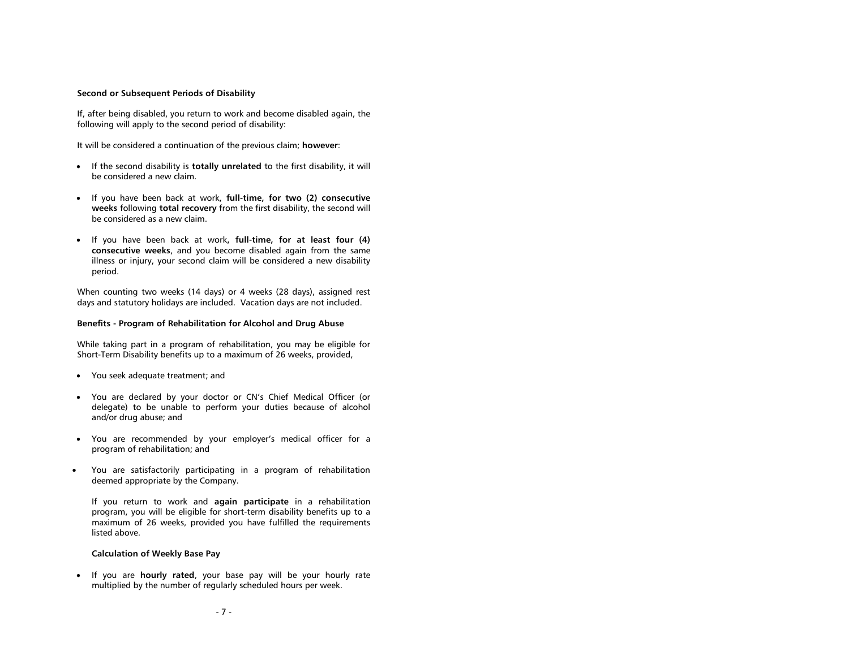#### <span id="page-9-0"></span>**Second or Subsequent Periods of Disability**

If, after being disabled, you return to work and become disabled again, the following will apply to the second period of disability:

It will be considered a continuation of the previous claim; **however**:

- If the second disability is **totally unrelated** to the first disability, it will be considered a new claim.
- If you have been back at work, **full-time, for two (2) consecutive weeks** following **total recovery** from the first disability, the second will be considered as a new claim.
- If you have been back at work**, full-time, for at least four (4) consecutive weeks**, and you become disabled again from the same illness or injury, your second claim will be considered a new disability period.

When counting two weeks (14 days) or 4 weeks (28 days), assigned rest days and statutory holidays are included. Vacation days are not included.

### <span id="page-9-1"></span>**Benefits - Program of Rehabilitation for Alcohol and Drug Abuse**

While taking part in a program of rehabilitation, you may be eligible for Short-Term Disability benefits up to a maximum of 26 weeks, provided,

- You seek adequate treatment; and
- You are declared by your doctor or CN's Chief Medical Officer (or delegate) to be unable to perform your duties because of alcohol and/or drug abuse; and
- You are recommended by your employer's medical officer for a program of rehabilitation; and
- You are satisfactorily participating in a program of rehabilitation deemed appropriate by the Company.

If you return to work and **again participate** in a rehabilitation program, you will be eligible for short-term disability benefits up to a maximum of 26 weeks, provided you have fulfilled the requirements listed above.

#### <span id="page-9-2"></span>**Calculation of Weekly Base Pay**

 If you are **hourly rated**, your base pay will be your hourly rate multiplied by the number of regularly scheduled hours per week.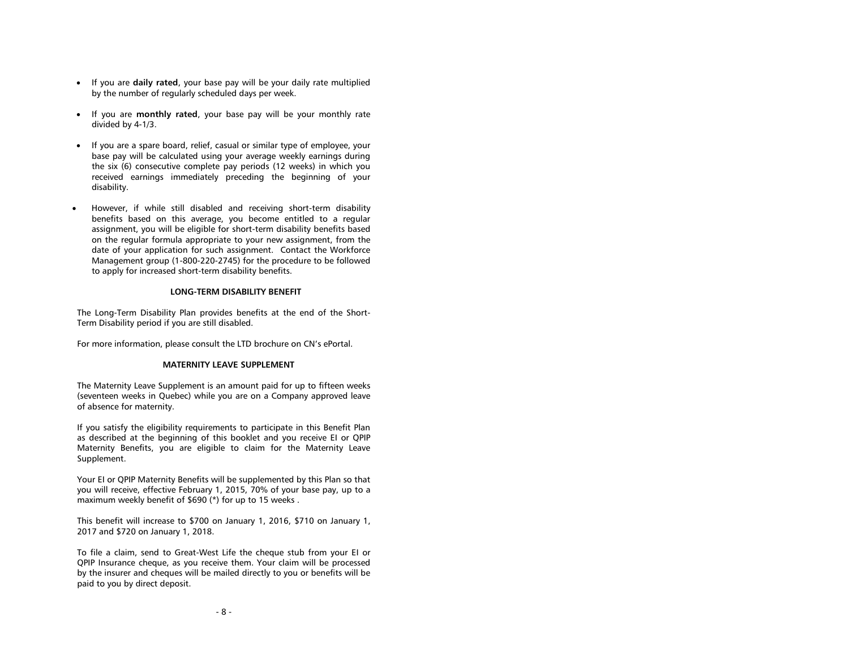- If you are **daily rated**, your base pay will be your daily rate multiplied by the number of regularly scheduled days per week.
- If you are **monthly rated**, your base pay will be your monthly rate divided by 4-1/3.
- If you are a spare board, relief, casual or similar type of employee, your base pay will be calculated using your average weekly earnings during the six (6) consecutive complete pay periods (12 weeks) in which you received earnings immediately preceding the beginning of your disability.
- However, if while still disabled and receiving short-term disability benefits based on this average, you become entitled to a regular assignment, you will be eligible for short-term disability benefits based on the regular formula appropriate to your new assignment, from the date of your application for such assignment. Contact the Workforce Management group (1-800-220-2745) for the procedure to be followed to apply for increased short-term disability benefits.

# **LONG-TERM DISABILITY BENEFIT**

<span id="page-10-0"></span>The Long-Term Disability Plan provides benefits at the end of the Short-Term Disability period if you are still disabled.

<span id="page-10-1"></span>For more information, please consult the LTD brochure on CN's ePortal.

#### **MATERNITY LEAVE SUPPLEMENT**

The Maternity Leave Supplement is an amount paid for up to fifteen weeks (seventeen weeks in Quebec) while you are on a Company approved leave of absence for maternity.

If you satisfy the eligibility requirements to participate in this Benefit Plan as described at the beginning of this booklet and you receive EI or QPIP Maternity Benefits, you are eligible to claim for the Maternity Leave Supplement.

Your EI or QPIP Maternity Benefits will be supplemented by this Plan so that you will receive, effective February 1, 2015, 70% of your base pay, up to a maximum weekly benefit of \$690 (\*) for up to 15 weeks .

This benefit will increase to \$700 on January 1, 2016, \$710 on January 1, 2017 and \$720 on January 1, 2018.

To file a claim, send to Great-West Life the cheque stub from your EI or QPIP Insurance cheque, as you receive them. Your claim will be processed by the insurer and cheques will be mailed directly to you or benefits will be paid to you by direct deposit.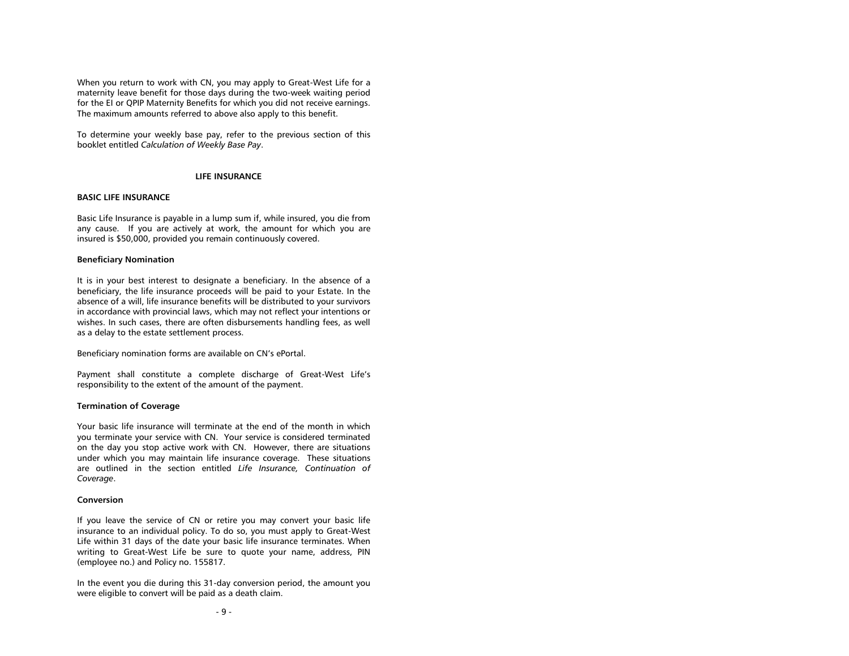When you return to work with CN, you may apply to Great-West Life for a maternity leave benefit for those days during the two-week waiting period for the EI or QPIP Maternity Benefits for which you did not receive earnings. The maximum amounts referred to above also apply to this benefit.

To determine your weekly base pay, refer to the previous section of this booklet entitled *Calculation of Weekly Base Pay*.

### **LIFE INSURANCE**

#### <span id="page-11-1"></span><span id="page-11-0"></span>**BASIC LIFE INSURANCE**

Basic Life Insurance is payable in a lump sum if, while insured, you die from any cause. If you are actively at work, the amount for which you are insured is \$50,000, provided you remain continuously covered.

#### <span id="page-11-2"></span>**Beneficiary Nomination**

It is in your best interest to designate a beneficiary. In the absence of a beneficiary, the life insurance proceeds will be paid to your Estate. In the absence of a will, life insurance benefits will be distributed to your survivors in accordance with provincial laws, which may not reflect your intentions or wishes. In such cases, there are often disbursements handling fees, as well as a delay to the estate settlement process.

Beneficiary nomination forms are available on CN's ePortal.

Payment shall constitute a complete discharge of Great-West Life's responsibility to the extent of the amount of the payment.

### <span id="page-11-3"></span>**Termination of Coverage**

Your basic life insurance will terminate at the end of the month in which you terminate your service with CN. Your service is considered terminated on the day you stop active work with CN. However, there are situations under which you may maintain life insurance coverage. These situations are outlined in the section entitled *Life Insurance, Continuation of Coverage*.

#### <span id="page-11-4"></span>**Conversion**

If you leave the service of CN or retire you may convert your basic life insurance to an individual policy. To do so, you must apply to Great-West Life within 31 days of the date your basic life insurance terminates. When writing to Great-West Life be sure to quote your name, address, PIN (employee no.) and Policy no. 155817.

In the event you die during this 31-day conversion period, the amount you were eligible to convert will be paid as a death claim.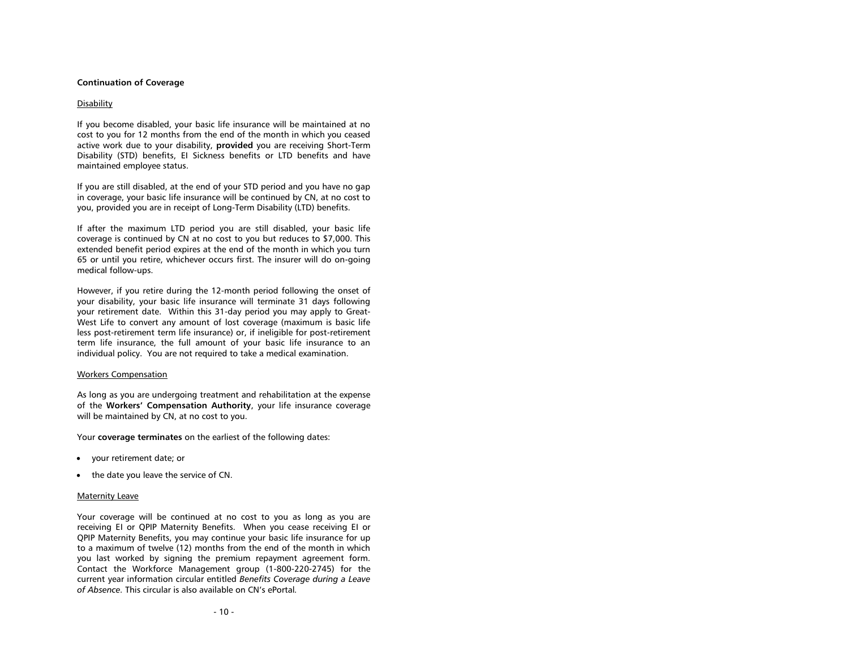#### <span id="page-12-0"></span>**Continuation of Coverage**

### **Disability**

If you become disabled, your basic life insurance will be maintained at no cost to you for 12 months from the end of the month in which you ceased active work due to your disability, **provided** you are receiving Short-Term Disability (STD) benefits, EI Sickness benefits or LTD benefits and have maintained employee status.

If you are still disabled, at the end of your STD period and you have no gap in coverage, your basic life insurance will be continued by CN, at no cost to you, provided you are in receipt of Long-Term Disability (LTD) benefits.

If after the maximum LTD period you are still disabled, your basic life coverage is continued by CN at no cost to you but reduces to \$7,000. This extended benefit period expires at the end of the month in which you turn 65 or until you retire, whichever occurs first. The insurer will do on-going medical follow-ups.

However, if you retire during the 12-month period following the onset of your disability, your basic life insurance will terminate 31 days following your retirement date. Within this 31-day period you may apply to Great-West Life to convert any amount of lost coverage (maximum is basic life less post-retirement term life insurance) or, if ineligible for post-retirement term life insurance, the full amount of your basic life insurance to an individual policy. You are not required to take a medical examination.

#### Workers Compensation

As long as you are undergoing treatment and rehabilitation at the expense of the **Workers' Compensation Authority**, your life insurance coverage will be maintained by CN, at no cost to you.

Your **coverage terminates** on the earliest of the following dates:

- your retirement date; or
- the date you leave the service of CN.

#### Maternity Leave

Your coverage will be continued at no cost to you as long as you are receiving EI or QPIP Maternity Benefits. When you cease receiving EI or QPIP Maternity Benefits, you may continue your basic life insurance for up to a maximum of twelve (12) months from the end of the month in which you last worked by signing the premium repayment agreement form. Contact the Workforce Management group (1-800-220-2745) for the current year information circular entitled *Benefits Coverage during a Leave of Absence.* This circular is also available on CN's ePortal*.*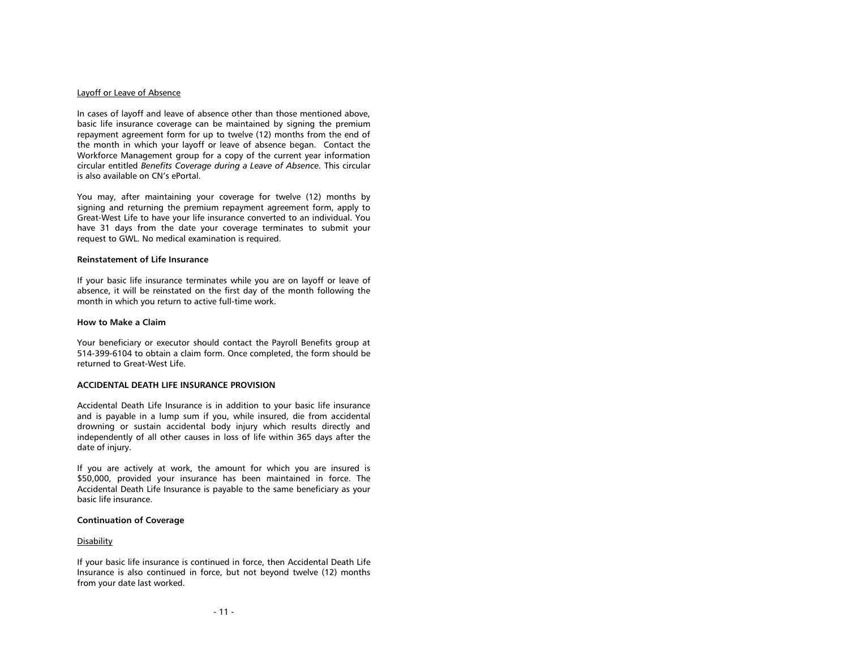#### Layoff or Leave of Absence

In cases of layoff and leave of absence other than those mentioned above, basic life insurance coverage can be maintained by signing the premium repayment agreement form for up to twelve (12) months from the end of the month in which your layoff or leave of absence began. Contact the Workforce Management group for a copy of the current year information circular entitled *Benefits Coverage during a Leave of Absence.* This circular is also available on CN's ePortal.

You may, after maintaining your coverage for twelve (12) months by signing and returning the premium repayment agreement form, apply to Great-West Life to have your life insurance converted to an individual. You have 31 days from the date your coverage terminates to submit your request to GWL. No medical examination is required.

#### <span id="page-13-0"></span>**Reinstatement of Life Insurance**

If your basic life insurance terminates while you are on layoff or leave of absence, it will be reinstated on the first day of the month following the month in which you return to active full-time work.

# <span id="page-13-1"></span>**How to Make a Claim**

Your beneficiary or executor should contact the Payroll Benefits group at 514-399-6104 to obtain a claim form. Once completed, the form should be returned to Great-West Life.

#### <span id="page-13-2"></span>**ACCIDENTAL DEATH LIFE INSURANCE PROVISION**

Accidental Death Life Insurance is in addition to your basic life insurance and is payable in a lump sum if you, while insured, die from accidental drowning or sustain accidental body injury which results directly and independently of all other causes in loss of life within 365 days after the date of injury.

If you are actively at work, the amount for which you are insured is \$50,000, provided your insurance has been maintained in force. The Accidental Death Life Insurance is payable to the same beneficiary as your basic life insurance.

### <span id="page-13-3"></span>**Continuation of Coverage**

### **Disability**

If your basic life insurance is continued in force, then Accidental Death Life Insurance is also continued in force, but not beyond twelve (12) months from your date last worked.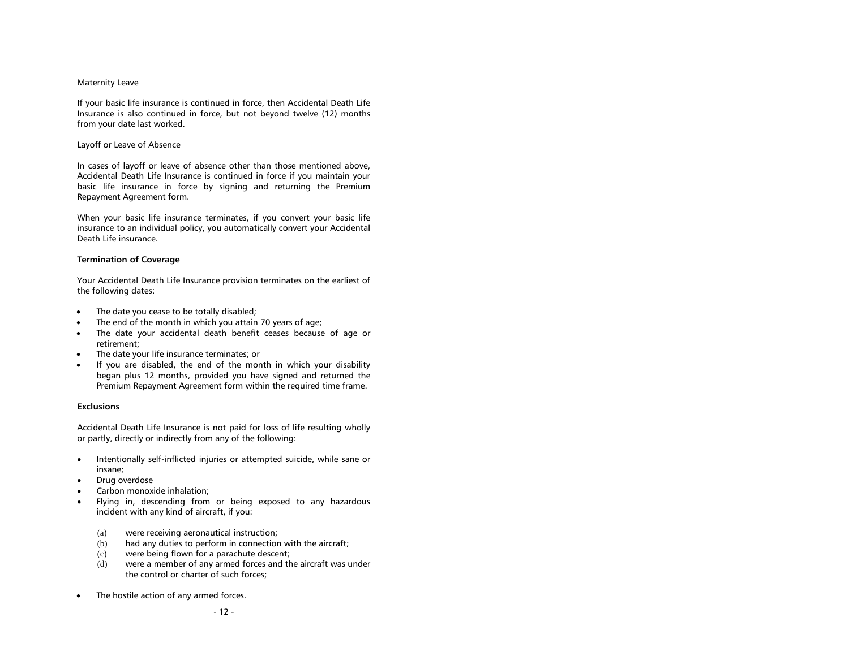### Maternity Leave

If your basic life insurance is continued in force, then Accidental Death Life Insurance is also continued in force, but not beyond twelve (12) months from your date last worked.

### Layoff or Leave of Absence

In cases of layoff or leave of absence other than those mentioned above, Accidental Death Life Insurance is continued in force if you maintain your basic life insurance in force by signing and returning the Premium Repayment Agreement form.

When your basic life insurance terminates, if you convert your basic life insurance to an individual policy, you automatically convert your Accidental Death Life insurance.

# <span id="page-14-0"></span>**Termination of Coverage**

Your Accidental Death Life Insurance provision terminates on the earliest of the following dates:

- The date you cease to be totally disabled;
- The end of the month in which you attain 70 years of age;
- The date your accidental death benefit ceases because of age or retirement;
- The date your life insurance terminates; or
- If you are disabled, the end of the month in which your disability began plus 12 months, provided you have signed and returned the Premium Repayment Agreement form within the required time frame.

### <span id="page-14-1"></span>**Exclusions**

Accidental Death Life Insurance is not paid for loss of life resulting wholly or partly, directly or indirectly from any of the following:

- Intentionally self-inflicted injuries or attempted suicide, while sane or insane;
- Drug overdose
- Carbon monoxide inhalation;
- Flying in, descending from or being exposed to any hazardous incident with any kind of aircraft, if you:
	- (a) were receiving aeronautical instruction;
	- (b) had any duties to perform in connection with the aircraft;
	- (c) were being flown for a parachute descent;
	- (d) were a member of any armed forces and the aircraft was under the control or charter of such forces;
- The hostile action of any armed forces.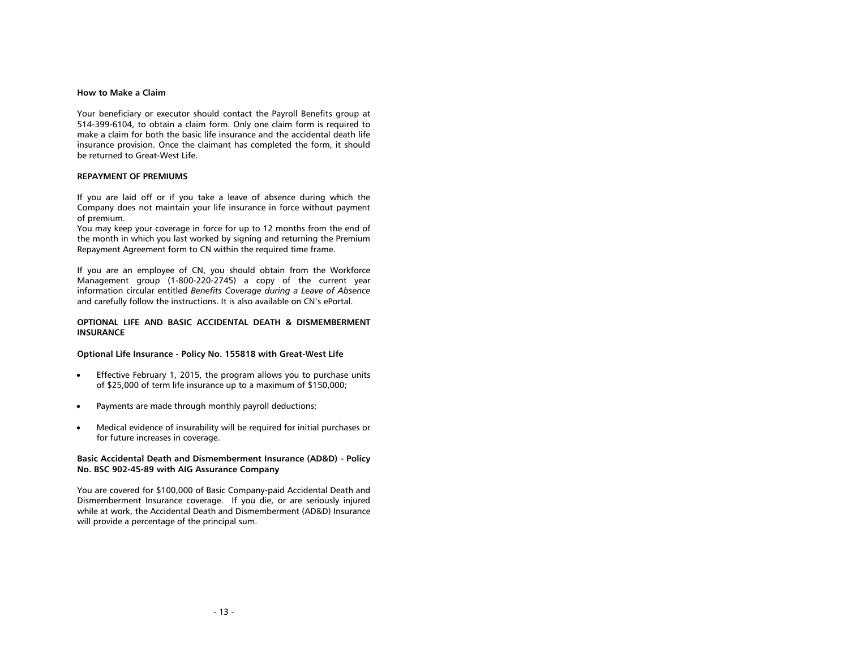# <span id="page-15-0"></span>**How to Make a Claim**

Your beneficiary or executor should contact the Payroll Benefits group at 514-399-6104, to obtain a claim form. Only one claim form is required to make a claim for both the basic life insurance and the accidental death life insurance provision. Once the claimant has completed the form, it should be returned to Great-West Life.

#### <span id="page-15-1"></span>**REPAYMENT OF PREMIUMS**

If you are laid off or if you take a leave of absence during which the Company does not maintain your life insurance in force without payment of premium.

You may keep your coverage in force for up to 12 months from the end of the month in which you last worked by signing and returning the Premium Repayment Agreement form to CN within the required time frame.

If you are an employee of CN, you should obtain from the Workforce Management group (1-800-220-2745) a copy of the current year information circular entitled *Benefits Coverage during a Leave of Absence* and carefully follow the instructions. It is also available on CN's ePortal.

# <span id="page-15-2"></span>**OPTIONAL LIFE AND BASIC ACCIDENTAL DEATH & DISMEMBERMENT INSURANCE**

#### **Optional Life Insurance - Policy No. 155818 with Great-West Life**

- **Effective February 1, 2015, the program allows you to purchase units** of \$25,000 of term life insurance up to a maximum of \$150,000;
- Payments are made through monthly payroll deductions;
- Medical evidence of insurability will be required for initial purchases or for future increases in coverage.

# **Basic Accidental Death and Dismemberment Insurance (AD&D) - Policy No. BSC 902-45-89 with AIG Assurance Company**

You are covered for \$100,000 of Basic Company-paid Accidental Death and Dismemberment Insurance coverage. If you die, or are seriously injured while at work, the Accidental Death and Dismemberment (AD&D) Insurance will provide a percentage of the principal sum.